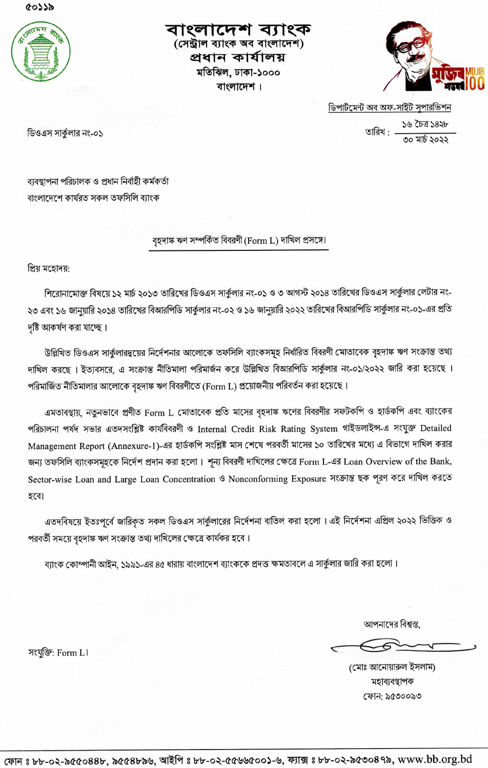৫০১১৯



বাংলাদেশ ব্যাংক (সেন্ট্ৰাল ব্যাংক অব বাংলাদেশ) প্ৰধান কাৰ্যালয় মতিঝিল, ঢাকা-১০০০ বাংলাদেশ ।



ডিপাৰ্টমেন্ট অব অফ-সাইট সুপারভিশন তারিখ :  $\frac{56}{100}$  তারিখ :

৩০ মার্চ ১০১১

ডিওএস সার্কুলার নং-০১

ব্যবস্থাপনা পরিচালক ও প্রধান নির্বাহী কর্মকর্তা বাংলাদেশে কাৰ্যরত সকল তফসিলি ব্যাংক

#### বৃহদাঙ্ক ঋণ সম্পৰ্কিত বিবরণী (Form L) দাখিল প্রসঙ্গে।

প্ৰিয় মহোদয়:

শিরোনামোক্ত বিষয়ে ১২ মার্চ ২০১৩ তারিখের ডিওএস সার্কুলার নং-০১ ও ৩ আগস্ট ২০১৪ তারিখের ডিওএস সার্কুলার লেটার নং-২৩ এবং ১৬ জানুয়ারি ২০১৪ তারিখের বিআরপিডি সার্কুলার নং-০২ ও ১৬ জানুয়ারি ২০২২ তারিখের বিআরপিডি সার্কুলার নং-০১-এর প্রতি দষ্টি আকৰ্ষণ করা যাচ্ছে।

উল্লিখিত ডিওএস সার্কুলারদুয়ের নির্দেশনার আলোকে তফসিলি ব্যাংকসমূহ নির্ধারিত বিবরণী মোতাবেক বৃহদাঙ্ক ঋণ সংক্রান্ত তথ্য দাখিল করছে । ইত্যবসরে, এ সংক্রান্ত নীতিমালা পরিমার্জন করে উল্লিখিত বিআরপিডি সার্কুলার নং-০১/২০২২ জারি করা হয়েছে । পরিমার্জিত নীতিমালার আলোকে বৃহদাঙ্ক ঋণ বিবরণীতে (Form L) প্রয়োজনীয় পরিবর্তন করা হয়েছে।

এমতাবস্থায়, নতুনভাবে প্রণীত Form L মোতাবেক প্রতি মাসের বৃহদাঙ্ক ঋণের বিবরণীর সফটকপি ও হার্ডকপি এবং ব্যাংকের পরিচালনা পর্যদ সভার এতদসংশ্লিষ্ট কার্যবিবরণী ও Internal Credit Risk Rating System গাইডলাইন্স-এ সংযুক্ত Detailed Management Report (Annexure-1)-এর হার্ডকপি সংশ্লিষ্ট মাস শেষে পরবর্তী মাসের ১০ তারিখের মধ্যে এ বিভাগে দাখিল করার জন্য তফসিলি ব্যাংকসমূহকে নির্দেশ প্রদান করা হলো। শূন্য বিবরণী দাখিলের ক্ষেত্রে Form L-এর Loan Overview of the Bank, Sector-wise Loan and Large Loan Concentration ও Nonconforming Exposure সংক্রান্ত ছক পূরণ করে দাখিল করতে হবে।

এতদবিষয়ে ইতঃপূর্বে জারিকৃত সকল ডিওএস সার্কুলারের নির্দেশনা বাতিল করা হলো । এই নির্দেশনা এপ্রিল ২০২২ ভিত্তিক ও পরবর্তী সময়ে বৃহদাঙ্ক ঋণ সংক্রান্ত তথ্য দাখিলের ক্ষেত্রে কার্যকর হবে।

ব্যাংক কোম্পানী আইন, ১৯৯১-এর ৪৫ ধারায় বাংলাদেশ ব্যাংককে প্রদত্ত ক্ষমতাবলে এ সার্কুলার জারি করা হলো।

আপনাদের বিশ্বস্ত,

(মোঃ আনোয়ারুল ইসলাম) মহাব্যবস্থাপক Cth: S¢ooo@o

সংযুক্তি: Form L।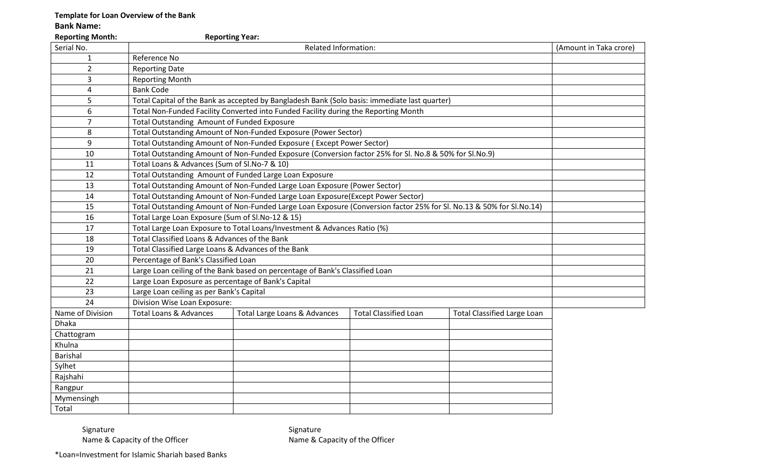## **Template for Loan Overview of the Bank**

**Bank Name:**

| <b>Reporting Month:</b><br><b>Reporting Year:</b> |                                                                                                                     |                                                                                                        |                              |                                    |                        |  |  |  |  |
|---------------------------------------------------|---------------------------------------------------------------------------------------------------------------------|--------------------------------------------------------------------------------------------------------|------------------------------|------------------------------------|------------------------|--|--|--|--|
| Serial No.                                        |                                                                                                                     | <b>Related Information:</b>                                                                            |                              |                                    | (Amount in Taka crore) |  |  |  |  |
| $\mathbf{1}$                                      | Reference No                                                                                                        |                                                                                                        |                              |                                    |                        |  |  |  |  |
| $\overline{2}$                                    | <b>Reporting Date</b>                                                                                               |                                                                                                        |                              |                                    |                        |  |  |  |  |
| 3                                                 | <b>Reporting Month</b>                                                                                              |                                                                                                        |                              |                                    |                        |  |  |  |  |
| 4                                                 | <b>Bank Code</b>                                                                                                    |                                                                                                        |                              |                                    |                        |  |  |  |  |
| 5                                                 |                                                                                                                     | Total Capital of the Bank as accepted by Bangladesh Bank (Solo basis: immediate last quarter)          |                              |                                    |                        |  |  |  |  |
| 6                                                 |                                                                                                                     | Total Non-Funded Facility Converted into Funded Facility during the Reporting Month                    |                              |                                    |                        |  |  |  |  |
| $\overline{7}$                                    |                                                                                                                     | Total Outstanding Amount of Funded Exposure                                                            |                              |                                    |                        |  |  |  |  |
| 8                                                 |                                                                                                                     | Total Outstanding Amount of Non-Funded Exposure (Power Sector)                                         |                              |                                    |                        |  |  |  |  |
| 9                                                 |                                                                                                                     | Total Outstanding Amount of Non-Funded Exposure (Except Power Sector)                                  |                              |                                    |                        |  |  |  |  |
| 10                                                |                                                                                                                     | Total Outstanding Amount of Non-Funded Exposure (Conversion factor 25% for Sl. No.8 & 50% for Sl.No.9) |                              |                                    |                        |  |  |  |  |
| 11                                                | Total Loans & Advances (Sum of Sl.No-7 & 10)                                                                        |                                                                                                        |                              |                                    |                        |  |  |  |  |
| 12                                                |                                                                                                                     | Total Outstanding Amount of Funded Large Loan Exposure                                                 |                              |                                    |                        |  |  |  |  |
| 13                                                | Total Outstanding Amount of Non-Funded Large Loan Exposure (Power Sector)                                           |                                                                                                        |                              |                                    |                        |  |  |  |  |
| 14                                                | Total Outstanding Amount of Non-Funded Large Loan Exposure(Except Power Sector)                                     |                                                                                                        |                              |                                    |                        |  |  |  |  |
| 15                                                | Total Outstanding Amount of Non-Funded Large Loan Exposure (Conversion factor 25% for Sl. No.13 & 50% for Sl.No.14) |                                                                                                        |                              |                                    |                        |  |  |  |  |
| 16                                                | Total Large Loan Exposure (Sum of Sl.No-12 & 15)                                                                    |                                                                                                        |                              |                                    |                        |  |  |  |  |
| 17                                                | Total Large Loan Exposure to Total Loans/Investment & Advances Ratio (%)                                            |                                                                                                        |                              |                                    |                        |  |  |  |  |
| 18                                                | Total Classified Loans & Advances of the Bank                                                                       |                                                                                                        |                              |                                    |                        |  |  |  |  |
| 19                                                | Total Classified Large Loans & Advances of the Bank                                                                 |                                                                                                        |                              |                                    |                        |  |  |  |  |
| 20                                                | Percentage of Bank's Classified Loan                                                                                |                                                                                                        |                              |                                    |                        |  |  |  |  |
| 21                                                |                                                                                                                     | Large Loan ceiling of the Bank based on percentage of Bank's Classified Loan                           |                              |                                    |                        |  |  |  |  |
| 22                                                | Large Loan Exposure as percentage of Bank's Capital                                                                 |                                                                                                        |                              |                                    |                        |  |  |  |  |
| 23                                                | Large Loan ceiling as per Bank's Capital                                                                            |                                                                                                        |                              |                                    |                        |  |  |  |  |
| 24                                                | Division Wise Loan Exposure:                                                                                        |                                                                                                        |                              |                                    |                        |  |  |  |  |
| Name of Division                                  | <b>Total Loans &amp; Advances</b>                                                                                   | Total Large Loans & Advances                                                                           | <b>Total Classified Loan</b> | <b>Total Classified Large Loan</b> |                        |  |  |  |  |
| <b>Dhaka</b>                                      |                                                                                                                     |                                                                                                        |                              |                                    |                        |  |  |  |  |
| Chattogram                                        |                                                                                                                     |                                                                                                        |                              |                                    |                        |  |  |  |  |
| Khulna                                            |                                                                                                                     |                                                                                                        |                              |                                    |                        |  |  |  |  |
| <b>Barishal</b>                                   |                                                                                                                     |                                                                                                        |                              |                                    |                        |  |  |  |  |
| Sylhet                                            |                                                                                                                     |                                                                                                        |                              |                                    |                        |  |  |  |  |
| Rajshahi                                          |                                                                                                                     |                                                                                                        |                              |                                    |                        |  |  |  |  |
| Rangpur                                           |                                                                                                                     |                                                                                                        |                              |                                    |                        |  |  |  |  |
| Mymensingh                                        |                                                                                                                     |                                                                                                        |                              |                                    |                        |  |  |  |  |
| Total                                             |                                                                                                                     |                                                                                                        |                              |                                    |                        |  |  |  |  |

Signature Signature<br>
Name & Capacity of the Officer State State State State State State State State State State State State State

Name & Capacity of the Officer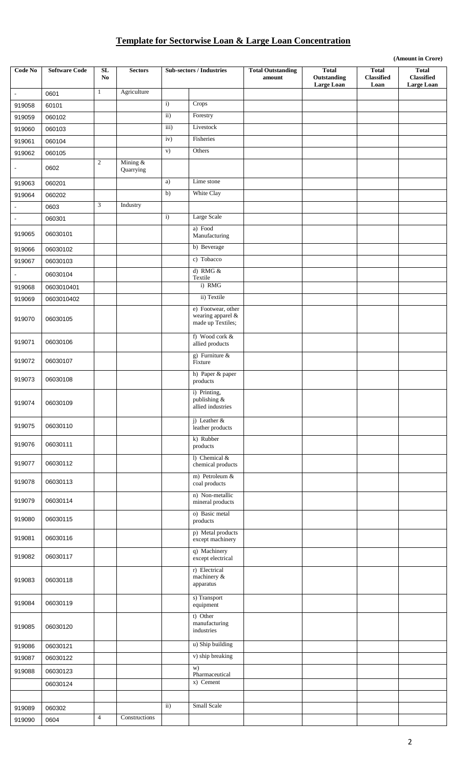# **Template for Sectorwise Loan & Large Loan Concentration**

|                       |                      |                  |                       |                   |                                                              |                                    |                                                  |                                           | (Amount in Crore)                                      |
|-----------------------|----------------------|------------------|-----------------------|-------------------|--------------------------------------------------------------|------------------------------------|--------------------------------------------------|-------------------------------------------|--------------------------------------------------------|
| Code No               | <b>Software Code</b> | ${\bf SL}$<br>No | <b>Sectors</b>        |                   | <b>Sub-sectors / Industries</b>                              | <b>Total Outstanding</b><br>amount | <b>Total</b><br>Outstanding<br><b>Large Loan</b> | <b>Total</b><br><b>Classified</b><br>Loan | <b>Total</b><br><b>Classified</b><br><b>Large Loan</b> |
| $\omega$              | 0601                 | $\mathbf{1}$     | Agriculture           |                   |                                                              |                                    |                                                  |                                           |                                                        |
| 919058                | 60101                |                  |                       | $\mathbf{i}$      | Crops                                                        |                                    |                                                  |                                           |                                                        |
| 919059                | 060102               |                  |                       | $\overline{ii}$ ) | Forestry                                                     |                                    |                                                  |                                           |                                                        |
| 919060                | 060103               |                  |                       | iii)              | Livestock                                                    |                                    |                                                  |                                           |                                                        |
| 919061                | 060104               |                  |                       | iv)               | Fisheries                                                    |                                    |                                                  |                                           |                                                        |
| 919062                | 060105               |                  |                       | V)                | Others                                                       |                                    |                                                  |                                           |                                                        |
|                       | 0602                 | 2                | Mining &<br>Quarrying |                   |                                                              |                                    |                                                  |                                           |                                                        |
| 919063                | 060201               |                  |                       | a)                | Lime stone                                                   |                                    |                                                  |                                           |                                                        |
| 919064                | 060202               |                  |                       | $\overline{b}$    | White Clay                                                   |                                    |                                                  |                                           |                                                        |
| $\tilde{\phantom{a}}$ | 0603                 | 3                | Industry              |                   |                                                              |                                    |                                                  |                                           |                                                        |
| $\blacksquare$        | 060301               |                  |                       | $\mathbf{i}$      | Large Scale                                                  |                                    |                                                  |                                           |                                                        |
| 919065                | 06030101             |                  |                       |                   | a) Food<br>Manufacturing                                     |                                    |                                                  |                                           |                                                        |
| 919066                | 06030102             |                  |                       |                   | b) Beverage                                                  |                                    |                                                  |                                           |                                                        |
| 919067                | 06030103             |                  |                       |                   | c) Tobacco                                                   |                                    |                                                  |                                           |                                                        |
| $\blacksquare$        | 06030104             |                  |                       |                   | d) RMG $&$<br>Textile                                        |                                    |                                                  |                                           |                                                        |
| 919068                | 0603010401           |                  |                       |                   | i) RMG                                                       |                                    |                                                  |                                           |                                                        |
| 919069                | 0603010402           |                  |                       |                   | ii) Textile                                                  |                                    |                                                  |                                           |                                                        |
| 919070                | 06030105             |                  |                       |                   | e) Footwear, other<br>wearing apparel &<br>made up Textiles; |                                    |                                                  |                                           |                                                        |
| 919071                | 06030106             |                  |                       |                   | f) Wood cork &<br>allied products                            |                                    |                                                  |                                           |                                                        |
| 919072                | 06030107             |                  |                       |                   | g) Furniture $\&$<br>Fixture                                 |                                    |                                                  |                                           |                                                        |
| 919073                | 06030108             |                  |                       |                   | h) Paper & paper<br>products                                 |                                    |                                                  |                                           |                                                        |
| 919074                | 06030109             |                  |                       |                   | i) Printing,<br>publishing &<br>allied industries            |                                    |                                                  |                                           |                                                        |
| 919075                | 06030110             |                  |                       |                   | j) Leather $&$<br>leather products                           |                                    |                                                  |                                           |                                                        |
| 919076                | 06030111             |                  |                       |                   | k) Rubber<br>products                                        |                                    |                                                  |                                           |                                                        |
| 919077                | 06030112             |                  |                       |                   | 1) Chemical &<br>chemical products                           |                                    |                                                  |                                           |                                                        |
| 919078                | 06030113             |                  |                       |                   | m) Petroleum &<br>coal products                              |                                    |                                                  |                                           |                                                        |
| 919079                | 06030114             |                  |                       |                   | n) Non-metallic<br>mineral products                          |                                    |                                                  |                                           |                                                        |
| 919080                | 06030115             |                  |                       |                   | o) Basic metal<br>products                                   |                                    |                                                  |                                           |                                                        |
| 919081                | 06030116             |                  |                       |                   | p) Metal products<br>except machinery                        |                                    |                                                  |                                           |                                                        |
| 919082                | 06030117             |                  |                       |                   | q) Machinery<br>except electrical                            |                                    |                                                  |                                           |                                                        |
| 919083                | 06030118             |                  |                       |                   | r) Electrical<br>machinery $\&$<br>apparatus                 |                                    |                                                  |                                           |                                                        |
| 919084                | 06030119             |                  |                       |                   | s) Transport<br>equipment                                    |                                    |                                                  |                                           |                                                        |
| 919085                | 06030120             |                  |                       |                   | t) Other<br>manufacturing<br>industries                      |                                    |                                                  |                                           |                                                        |
| 919086                | 06030121             |                  |                       |                   | u) Ship building                                             |                                    |                                                  |                                           |                                                        |
| 919087                | 06030122             |                  |                       |                   | v) ship breaking                                             |                                    |                                                  |                                           |                                                        |
| 919088                | 06030123             |                  |                       |                   | w)<br>Pharmaceutical                                         |                                    |                                                  |                                           |                                                        |
|                       | 06030124             |                  |                       |                   | x) Cement                                                    |                                    |                                                  |                                           |                                                        |
|                       |                      |                  |                       |                   |                                                              |                                    |                                                  |                                           |                                                        |
| 919089                | 060302               |                  |                       | $\mathbf{ii}$     | Small Scale                                                  |                                    |                                                  |                                           |                                                        |
| 919090                | 0604                 | $\overline{4}$   | Constructions         |                   |                                                              |                                    |                                                  |                                           |                                                        |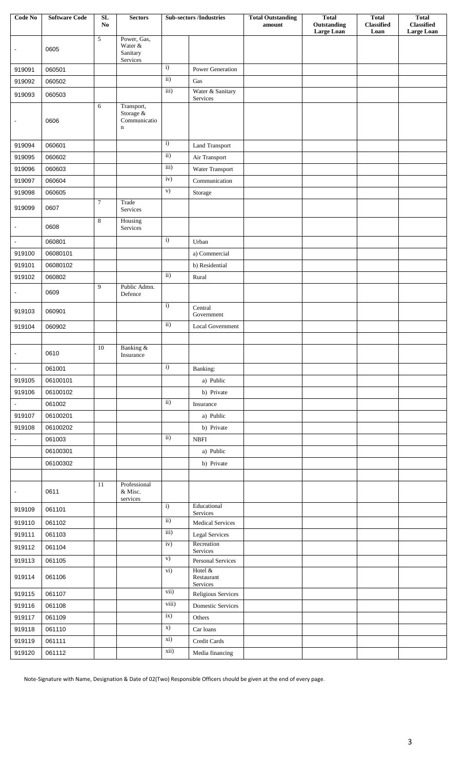| Large Loan<br><b>Large Loan</b><br>Loan<br>Power, Gas,<br>5<br>Water &<br>0605<br>Sanitary<br>Services<br>$\mathbf{i}$<br>060501<br>919091<br>Power Generation<br>$\overline{ii}$ )<br>919092<br>060502<br>Gas<br>$\overline{iii}$<br>Water & Sanitary<br>919093<br>060503<br>Services<br>6<br>Transport,<br>Storage &<br>Communicatio<br>0606<br>$\blacksquare$<br>$\mathbf n$<br>$\overline{i}$<br>060601<br>919094<br><b>Land Transport</b><br>ii)<br>919095<br>060602<br>Air Transport<br>iii)<br>919096<br>060603<br>Water Transport<br>iv)<br>919097<br>060604<br>Communication<br>$\mathbf{v})$<br>919098<br>060605<br>$\operatorname*{Storage}% \left( \mathcal{M}\right) \equiv\operatorname*{Storage}\left( \mathcal{M}\right)$<br>$\overline{7}$<br>Trade<br>919099<br>0607<br>Services<br>8<br>Housing<br>0608<br>Services<br>$\overline{i}$<br>060801<br>Urban<br>$\blacksquare$<br>919100<br>06080101<br>a) Commercial<br>919101<br>06080102<br>b) Residential<br>$\mathbf{ii}$<br>060802<br>919102<br>Rural<br>9<br>Public Admn.<br>0609<br>Defence<br>$\overline{i}$<br>Central<br>919103<br>060901<br>Government<br>ii)<br>919104<br>060902<br>Local Government<br>10<br>Banking &<br>0610<br>$\blacksquare$<br>Insurance<br>i)<br>$\omega$<br>061001<br>Banking:<br>06100101<br>a) Public<br>919105<br>06100102<br>919106<br>b) Private<br>ii)<br>061002<br>Insurance<br>919107<br>06100201<br>a) Public<br>919108<br>06100202<br>b) Private<br>$\mathbf{ii}$<br>061003<br><b>NBFI</b><br>$\blacksquare$<br>a) Public<br>06100301<br>06100302<br>b) Private<br>Professional<br>11<br>0611<br>& Misc.<br>services<br>$\mathbf{i}$<br>Educational<br>061101<br>919109<br>Services<br>$\overline{ii}$<br>919110<br>061102<br><b>Medical Services</b><br>$\overline{iii}$<br>919111<br>061103<br><b>Legal Services</b><br>Recreation<br>iv)<br>919112<br>061104<br>Services<br>$\mathbf{v})$<br>919113<br>061105<br>Personal Services<br>Hotel &<br>$\mathbf{vi})$<br>919114<br>061106<br>Restaurant<br>Services<br>vii)<br>919115<br>Religious Services<br>061107<br>viii)<br>919116<br>061108<br>Domestic Services<br>ix)<br>919117<br>061109<br>Others<br>X)<br>919118<br>061110<br>Car loans<br>xi)<br>919119<br>Credit Cards<br>061111<br>xii)<br>061112 | Code No | <b>Software Code</b> | SL | <b>Sectors</b> | <b>Sub-sectors /Industries</b> | <b>Total Outstanding</b> | <b>Total</b> | <b>Total</b>      | <b>Total</b>      |
|-----------------------------------------------------------------------------------------------------------------------------------------------------------------------------------------------------------------------------------------------------------------------------------------------------------------------------------------------------------------------------------------------------------------------------------------------------------------------------------------------------------------------------------------------------------------------------------------------------------------------------------------------------------------------------------------------------------------------------------------------------------------------------------------------------------------------------------------------------------------------------------------------------------------------------------------------------------------------------------------------------------------------------------------------------------------------------------------------------------------------------------------------------------------------------------------------------------------------------------------------------------------------------------------------------------------------------------------------------------------------------------------------------------------------------------------------------------------------------------------------------------------------------------------------------------------------------------------------------------------------------------------------------------------------------------------------------------------------------------------------------------------------------------------------------------------------------------------------------------------------------------------------------------------------------------------------------------------------------------------------------------------------------------------------------------------------------------------------------------------------------------------------------------------------------------------------------------------------------------------------------------------------------|---------|----------------------|----|----------------|--------------------------------|--------------------------|--------------|-------------------|-------------------|
|                                                                                                                                                                                                                                                                                                                                                                                                                                                                                                                                                                                                                                                                                                                                                                                                                                                                                                                                                                                                                                                                                                                                                                                                                                                                                                                                                                                                                                                                                                                                                                                                                                                                                                                                                                                                                                                                                                                                                                                                                                                                                                                                                                                                                                                                             |         |                      | No |                |                                | amount                   | Outstanding  | <b>Classified</b> | <b>Classified</b> |
|                                                                                                                                                                                                                                                                                                                                                                                                                                                                                                                                                                                                                                                                                                                                                                                                                                                                                                                                                                                                                                                                                                                                                                                                                                                                                                                                                                                                                                                                                                                                                                                                                                                                                                                                                                                                                                                                                                                                                                                                                                                                                                                                                                                                                                                                             |         |                      |    |                |                                |                          |              |                   |                   |
|                                                                                                                                                                                                                                                                                                                                                                                                                                                                                                                                                                                                                                                                                                                                                                                                                                                                                                                                                                                                                                                                                                                                                                                                                                                                                                                                                                                                                                                                                                                                                                                                                                                                                                                                                                                                                                                                                                                                                                                                                                                                                                                                                                                                                                                                             |         |                      |    |                |                                |                          |              |                   |                   |
|                                                                                                                                                                                                                                                                                                                                                                                                                                                                                                                                                                                                                                                                                                                                                                                                                                                                                                                                                                                                                                                                                                                                                                                                                                                                                                                                                                                                                                                                                                                                                                                                                                                                                                                                                                                                                                                                                                                                                                                                                                                                                                                                                                                                                                                                             |         |                      |    |                |                                |                          |              |                   |                   |
|                                                                                                                                                                                                                                                                                                                                                                                                                                                                                                                                                                                                                                                                                                                                                                                                                                                                                                                                                                                                                                                                                                                                                                                                                                                                                                                                                                                                                                                                                                                                                                                                                                                                                                                                                                                                                                                                                                                                                                                                                                                                                                                                                                                                                                                                             |         |                      |    |                |                                |                          |              |                   |                   |
|                                                                                                                                                                                                                                                                                                                                                                                                                                                                                                                                                                                                                                                                                                                                                                                                                                                                                                                                                                                                                                                                                                                                                                                                                                                                                                                                                                                                                                                                                                                                                                                                                                                                                                                                                                                                                                                                                                                                                                                                                                                                                                                                                                                                                                                                             |         |                      |    |                |                                |                          |              |                   |                   |
|                                                                                                                                                                                                                                                                                                                                                                                                                                                                                                                                                                                                                                                                                                                                                                                                                                                                                                                                                                                                                                                                                                                                                                                                                                                                                                                                                                                                                                                                                                                                                                                                                                                                                                                                                                                                                                                                                                                                                                                                                                                                                                                                                                                                                                                                             |         |                      |    |                |                                |                          |              |                   |                   |
|                                                                                                                                                                                                                                                                                                                                                                                                                                                                                                                                                                                                                                                                                                                                                                                                                                                                                                                                                                                                                                                                                                                                                                                                                                                                                                                                                                                                                                                                                                                                                                                                                                                                                                                                                                                                                                                                                                                                                                                                                                                                                                                                                                                                                                                                             |         |                      |    |                |                                |                          |              |                   |                   |
|                                                                                                                                                                                                                                                                                                                                                                                                                                                                                                                                                                                                                                                                                                                                                                                                                                                                                                                                                                                                                                                                                                                                                                                                                                                                                                                                                                                                                                                                                                                                                                                                                                                                                                                                                                                                                                                                                                                                                                                                                                                                                                                                                                                                                                                                             |         |                      |    |                |                                |                          |              |                   |                   |
|                                                                                                                                                                                                                                                                                                                                                                                                                                                                                                                                                                                                                                                                                                                                                                                                                                                                                                                                                                                                                                                                                                                                                                                                                                                                                                                                                                                                                                                                                                                                                                                                                                                                                                                                                                                                                                                                                                                                                                                                                                                                                                                                                                                                                                                                             |         |                      |    |                |                                |                          |              |                   |                   |
|                                                                                                                                                                                                                                                                                                                                                                                                                                                                                                                                                                                                                                                                                                                                                                                                                                                                                                                                                                                                                                                                                                                                                                                                                                                                                                                                                                                                                                                                                                                                                                                                                                                                                                                                                                                                                                                                                                                                                                                                                                                                                                                                                                                                                                                                             |         |                      |    |                |                                |                          |              |                   |                   |
|                                                                                                                                                                                                                                                                                                                                                                                                                                                                                                                                                                                                                                                                                                                                                                                                                                                                                                                                                                                                                                                                                                                                                                                                                                                                                                                                                                                                                                                                                                                                                                                                                                                                                                                                                                                                                                                                                                                                                                                                                                                                                                                                                                                                                                                                             |         |                      |    |                |                                |                          |              |                   |                   |
|                                                                                                                                                                                                                                                                                                                                                                                                                                                                                                                                                                                                                                                                                                                                                                                                                                                                                                                                                                                                                                                                                                                                                                                                                                                                                                                                                                                                                                                                                                                                                                                                                                                                                                                                                                                                                                                                                                                                                                                                                                                                                                                                                                                                                                                                             |         |                      |    |                |                                |                          |              |                   |                   |
|                                                                                                                                                                                                                                                                                                                                                                                                                                                                                                                                                                                                                                                                                                                                                                                                                                                                                                                                                                                                                                                                                                                                                                                                                                                                                                                                                                                                                                                                                                                                                                                                                                                                                                                                                                                                                                                                                                                                                                                                                                                                                                                                                                                                                                                                             |         |                      |    |                |                                |                          |              |                   |                   |
|                                                                                                                                                                                                                                                                                                                                                                                                                                                                                                                                                                                                                                                                                                                                                                                                                                                                                                                                                                                                                                                                                                                                                                                                                                                                                                                                                                                                                                                                                                                                                                                                                                                                                                                                                                                                                                                                                                                                                                                                                                                                                                                                                                                                                                                                             |         |                      |    |                |                                |                          |              |                   |                   |
|                                                                                                                                                                                                                                                                                                                                                                                                                                                                                                                                                                                                                                                                                                                                                                                                                                                                                                                                                                                                                                                                                                                                                                                                                                                                                                                                                                                                                                                                                                                                                                                                                                                                                                                                                                                                                                                                                                                                                                                                                                                                                                                                                                                                                                                                             |         |                      |    |                |                                |                          |              |                   |                   |
|                                                                                                                                                                                                                                                                                                                                                                                                                                                                                                                                                                                                                                                                                                                                                                                                                                                                                                                                                                                                                                                                                                                                                                                                                                                                                                                                                                                                                                                                                                                                                                                                                                                                                                                                                                                                                                                                                                                                                                                                                                                                                                                                                                                                                                                                             |         |                      |    |                |                                |                          |              |                   |                   |
|                                                                                                                                                                                                                                                                                                                                                                                                                                                                                                                                                                                                                                                                                                                                                                                                                                                                                                                                                                                                                                                                                                                                                                                                                                                                                                                                                                                                                                                                                                                                                                                                                                                                                                                                                                                                                                                                                                                                                                                                                                                                                                                                                                                                                                                                             |         |                      |    |                |                                |                          |              |                   |                   |
|                                                                                                                                                                                                                                                                                                                                                                                                                                                                                                                                                                                                                                                                                                                                                                                                                                                                                                                                                                                                                                                                                                                                                                                                                                                                                                                                                                                                                                                                                                                                                                                                                                                                                                                                                                                                                                                                                                                                                                                                                                                                                                                                                                                                                                                                             |         |                      |    |                |                                |                          |              |                   |                   |
|                                                                                                                                                                                                                                                                                                                                                                                                                                                                                                                                                                                                                                                                                                                                                                                                                                                                                                                                                                                                                                                                                                                                                                                                                                                                                                                                                                                                                                                                                                                                                                                                                                                                                                                                                                                                                                                                                                                                                                                                                                                                                                                                                                                                                                                                             |         |                      |    |                |                                |                          |              |                   |                   |
|                                                                                                                                                                                                                                                                                                                                                                                                                                                                                                                                                                                                                                                                                                                                                                                                                                                                                                                                                                                                                                                                                                                                                                                                                                                                                                                                                                                                                                                                                                                                                                                                                                                                                                                                                                                                                                                                                                                                                                                                                                                                                                                                                                                                                                                                             |         |                      |    |                |                                |                          |              |                   |                   |
|                                                                                                                                                                                                                                                                                                                                                                                                                                                                                                                                                                                                                                                                                                                                                                                                                                                                                                                                                                                                                                                                                                                                                                                                                                                                                                                                                                                                                                                                                                                                                                                                                                                                                                                                                                                                                                                                                                                                                                                                                                                                                                                                                                                                                                                                             |         |                      |    |                |                                |                          |              |                   |                   |
|                                                                                                                                                                                                                                                                                                                                                                                                                                                                                                                                                                                                                                                                                                                                                                                                                                                                                                                                                                                                                                                                                                                                                                                                                                                                                                                                                                                                                                                                                                                                                                                                                                                                                                                                                                                                                                                                                                                                                                                                                                                                                                                                                                                                                                                                             |         |                      |    |                |                                |                          |              |                   |                   |
|                                                                                                                                                                                                                                                                                                                                                                                                                                                                                                                                                                                                                                                                                                                                                                                                                                                                                                                                                                                                                                                                                                                                                                                                                                                                                                                                                                                                                                                                                                                                                                                                                                                                                                                                                                                                                                                                                                                                                                                                                                                                                                                                                                                                                                                                             |         |                      |    |                |                                |                          |              |                   |                   |
|                                                                                                                                                                                                                                                                                                                                                                                                                                                                                                                                                                                                                                                                                                                                                                                                                                                                                                                                                                                                                                                                                                                                                                                                                                                                                                                                                                                                                                                                                                                                                                                                                                                                                                                                                                                                                                                                                                                                                                                                                                                                                                                                                                                                                                                                             |         |                      |    |                |                                |                          |              |                   |                   |
|                                                                                                                                                                                                                                                                                                                                                                                                                                                                                                                                                                                                                                                                                                                                                                                                                                                                                                                                                                                                                                                                                                                                                                                                                                                                                                                                                                                                                                                                                                                                                                                                                                                                                                                                                                                                                                                                                                                                                                                                                                                                                                                                                                                                                                                                             |         |                      |    |                |                                |                          |              |                   |                   |
|                                                                                                                                                                                                                                                                                                                                                                                                                                                                                                                                                                                                                                                                                                                                                                                                                                                                                                                                                                                                                                                                                                                                                                                                                                                                                                                                                                                                                                                                                                                                                                                                                                                                                                                                                                                                                                                                                                                                                                                                                                                                                                                                                                                                                                                                             |         |                      |    |                |                                |                          |              |                   |                   |
|                                                                                                                                                                                                                                                                                                                                                                                                                                                                                                                                                                                                                                                                                                                                                                                                                                                                                                                                                                                                                                                                                                                                                                                                                                                                                                                                                                                                                                                                                                                                                                                                                                                                                                                                                                                                                                                                                                                                                                                                                                                                                                                                                                                                                                                                             |         |                      |    |                |                                |                          |              |                   |                   |
|                                                                                                                                                                                                                                                                                                                                                                                                                                                                                                                                                                                                                                                                                                                                                                                                                                                                                                                                                                                                                                                                                                                                                                                                                                                                                                                                                                                                                                                                                                                                                                                                                                                                                                                                                                                                                                                                                                                                                                                                                                                                                                                                                                                                                                                                             |         |                      |    |                |                                |                          |              |                   |                   |
|                                                                                                                                                                                                                                                                                                                                                                                                                                                                                                                                                                                                                                                                                                                                                                                                                                                                                                                                                                                                                                                                                                                                                                                                                                                                                                                                                                                                                                                                                                                                                                                                                                                                                                                                                                                                                                                                                                                                                                                                                                                                                                                                                                                                                                                                             |         |                      |    |                |                                |                          |              |                   |                   |
|                                                                                                                                                                                                                                                                                                                                                                                                                                                                                                                                                                                                                                                                                                                                                                                                                                                                                                                                                                                                                                                                                                                                                                                                                                                                                                                                                                                                                                                                                                                                                                                                                                                                                                                                                                                                                                                                                                                                                                                                                                                                                                                                                                                                                                                                             |         |                      |    |                |                                |                          |              |                   |                   |
|                                                                                                                                                                                                                                                                                                                                                                                                                                                                                                                                                                                                                                                                                                                                                                                                                                                                                                                                                                                                                                                                                                                                                                                                                                                                                                                                                                                                                                                                                                                                                                                                                                                                                                                                                                                                                                                                                                                                                                                                                                                                                                                                                                                                                                                                             |         |                      |    |                |                                |                          |              |                   |                   |
|                                                                                                                                                                                                                                                                                                                                                                                                                                                                                                                                                                                                                                                                                                                                                                                                                                                                                                                                                                                                                                                                                                                                                                                                                                                                                                                                                                                                                                                                                                                                                                                                                                                                                                                                                                                                                                                                                                                                                                                                                                                                                                                                                                                                                                                                             |         |                      |    |                |                                |                          |              |                   |                   |
|                                                                                                                                                                                                                                                                                                                                                                                                                                                                                                                                                                                                                                                                                                                                                                                                                                                                                                                                                                                                                                                                                                                                                                                                                                                                                                                                                                                                                                                                                                                                                                                                                                                                                                                                                                                                                                                                                                                                                                                                                                                                                                                                                                                                                                                                             |         |                      |    |                |                                |                          |              |                   |                   |
|                                                                                                                                                                                                                                                                                                                                                                                                                                                                                                                                                                                                                                                                                                                                                                                                                                                                                                                                                                                                                                                                                                                                                                                                                                                                                                                                                                                                                                                                                                                                                                                                                                                                                                                                                                                                                                                                                                                                                                                                                                                                                                                                                                                                                                                                             |         |                      |    |                |                                |                          |              |                   |                   |
|                                                                                                                                                                                                                                                                                                                                                                                                                                                                                                                                                                                                                                                                                                                                                                                                                                                                                                                                                                                                                                                                                                                                                                                                                                                                                                                                                                                                                                                                                                                                                                                                                                                                                                                                                                                                                                                                                                                                                                                                                                                                                                                                                                                                                                                                             |         |                      |    |                |                                |                          |              |                   |                   |
|                                                                                                                                                                                                                                                                                                                                                                                                                                                                                                                                                                                                                                                                                                                                                                                                                                                                                                                                                                                                                                                                                                                                                                                                                                                                                                                                                                                                                                                                                                                                                                                                                                                                                                                                                                                                                                                                                                                                                                                                                                                                                                                                                                                                                                                                             |         |                      |    |                |                                |                          |              |                   |                   |
|                                                                                                                                                                                                                                                                                                                                                                                                                                                                                                                                                                                                                                                                                                                                                                                                                                                                                                                                                                                                                                                                                                                                                                                                                                                                                                                                                                                                                                                                                                                                                                                                                                                                                                                                                                                                                                                                                                                                                                                                                                                                                                                                                                                                                                                                             |         |                      |    |                |                                |                          |              |                   |                   |
|                                                                                                                                                                                                                                                                                                                                                                                                                                                                                                                                                                                                                                                                                                                                                                                                                                                                                                                                                                                                                                                                                                                                                                                                                                                                                                                                                                                                                                                                                                                                                                                                                                                                                                                                                                                                                                                                                                                                                                                                                                                                                                                                                                                                                                                                             |         |                      |    |                |                                |                          |              |                   |                   |
|                                                                                                                                                                                                                                                                                                                                                                                                                                                                                                                                                                                                                                                                                                                                                                                                                                                                                                                                                                                                                                                                                                                                                                                                                                                                                                                                                                                                                                                                                                                                                                                                                                                                                                                                                                                                                                                                                                                                                                                                                                                                                                                                                                                                                                                                             |         |                      |    |                |                                |                          |              |                   |                   |
|                                                                                                                                                                                                                                                                                                                                                                                                                                                                                                                                                                                                                                                                                                                                                                                                                                                                                                                                                                                                                                                                                                                                                                                                                                                                                                                                                                                                                                                                                                                                                                                                                                                                                                                                                                                                                                                                                                                                                                                                                                                                                                                                                                                                                                                                             |         |                      |    |                |                                |                          |              |                   |                   |
|                                                                                                                                                                                                                                                                                                                                                                                                                                                                                                                                                                                                                                                                                                                                                                                                                                                                                                                                                                                                                                                                                                                                                                                                                                                                                                                                                                                                                                                                                                                                                                                                                                                                                                                                                                                                                                                                                                                                                                                                                                                                                                                                                                                                                                                                             |         |                      |    |                |                                |                          |              |                   |                   |
|                                                                                                                                                                                                                                                                                                                                                                                                                                                                                                                                                                                                                                                                                                                                                                                                                                                                                                                                                                                                                                                                                                                                                                                                                                                                                                                                                                                                                                                                                                                                                                                                                                                                                                                                                                                                                                                                                                                                                                                                                                                                                                                                                                                                                                                                             |         |                      |    |                |                                |                          |              |                   |                   |
|                                                                                                                                                                                                                                                                                                                                                                                                                                                                                                                                                                                                                                                                                                                                                                                                                                                                                                                                                                                                                                                                                                                                                                                                                                                                                                                                                                                                                                                                                                                                                                                                                                                                                                                                                                                                                                                                                                                                                                                                                                                                                                                                                                                                                                                                             |         |                      |    |                |                                |                          |              |                   |                   |
|                                                                                                                                                                                                                                                                                                                                                                                                                                                                                                                                                                                                                                                                                                                                                                                                                                                                                                                                                                                                                                                                                                                                                                                                                                                                                                                                                                                                                                                                                                                                                                                                                                                                                                                                                                                                                                                                                                                                                                                                                                                                                                                                                                                                                                                                             |         |                      |    |                |                                |                          |              |                   |                   |
|                                                                                                                                                                                                                                                                                                                                                                                                                                                                                                                                                                                                                                                                                                                                                                                                                                                                                                                                                                                                                                                                                                                                                                                                                                                                                                                                                                                                                                                                                                                                                                                                                                                                                                                                                                                                                                                                                                                                                                                                                                                                                                                                                                                                                                                                             |         |                      |    |                |                                |                          |              |                   |                   |
|                                                                                                                                                                                                                                                                                                                                                                                                                                                                                                                                                                                                                                                                                                                                                                                                                                                                                                                                                                                                                                                                                                                                                                                                                                                                                                                                                                                                                                                                                                                                                                                                                                                                                                                                                                                                                                                                                                                                                                                                                                                                                                                                                                                                                                                                             |         |                      |    |                |                                |                          |              |                   |                   |
|                                                                                                                                                                                                                                                                                                                                                                                                                                                                                                                                                                                                                                                                                                                                                                                                                                                                                                                                                                                                                                                                                                                                                                                                                                                                                                                                                                                                                                                                                                                                                                                                                                                                                                                                                                                                                                                                                                                                                                                                                                                                                                                                                                                                                                                                             |         |                      |    |                |                                |                          |              |                   |                   |
|                                                                                                                                                                                                                                                                                                                                                                                                                                                                                                                                                                                                                                                                                                                                                                                                                                                                                                                                                                                                                                                                                                                                                                                                                                                                                                                                                                                                                                                                                                                                                                                                                                                                                                                                                                                                                                                                                                                                                                                                                                                                                                                                                                                                                                                                             |         |                      |    |                |                                |                          |              |                   |                   |
|                                                                                                                                                                                                                                                                                                                                                                                                                                                                                                                                                                                                                                                                                                                                                                                                                                                                                                                                                                                                                                                                                                                                                                                                                                                                                                                                                                                                                                                                                                                                                                                                                                                                                                                                                                                                                                                                                                                                                                                                                                                                                                                                                                                                                                                                             | 919120  |                      |    |                | Media financing                |                          |              |                   |                   |

Note-Signature with Name, Designation & Date of 02(Two) Responsible Officers should be given at the end of every page.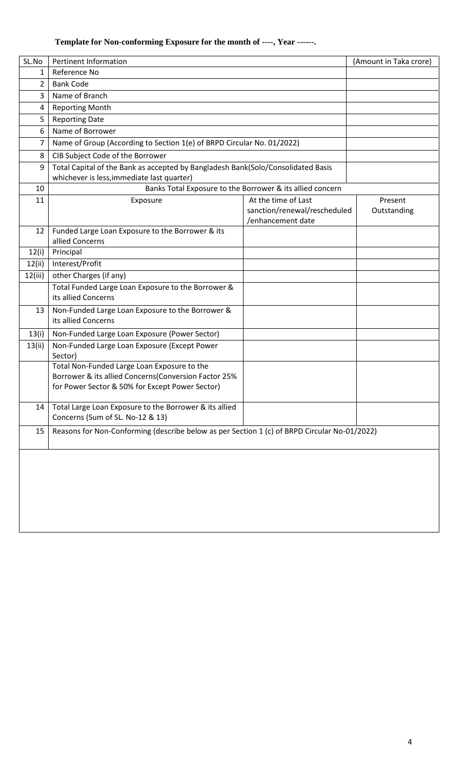# **Template for Non-conforming Exposure for the month of ----, Year ------.**

| SL.No   | <b>Pertinent Information</b>                                                                                                                           |                                                                          | (Amount in Taka crore) |
|---------|--------------------------------------------------------------------------------------------------------------------------------------------------------|--------------------------------------------------------------------------|------------------------|
| 1       | Reference No                                                                                                                                           |                                                                          |                        |
| 2       | <b>Bank Code</b>                                                                                                                                       |                                                                          |                        |
| 3       | Name of Branch                                                                                                                                         |                                                                          |                        |
| 4       | <b>Reporting Month</b>                                                                                                                                 |                                                                          |                        |
| 5       | <b>Reporting Date</b>                                                                                                                                  |                                                                          |                        |
| 6       | Name of Borrower                                                                                                                                       |                                                                          |                        |
| 7       | Name of Group (According to Section 1(e) of BRPD Circular No. 01/2022)                                                                                 |                                                                          |                        |
| 8       | CIB Subject Code of the Borrower                                                                                                                       |                                                                          |                        |
| 9       | Total Capital of the Bank as accepted by Bangladesh Bank(Solo/Consolidated Basis<br>whichever is less, immediate last quarter)                         |                                                                          |                        |
| 10      |                                                                                                                                                        | Banks Total Exposure to the Borrower & its allied concern                |                        |
| 11      | Exposure                                                                                                                                               | At the time of Last<br>sanction/renewal/rescheduled<br>/enhancement date | Present<br>Outstanding |
| 12      | Funded Large Loan Exposure to the Borrower & its<br>allied Concerns                                                                                    |                                                                          |                        |
| 12(i)   | Principal                                                                                                                                              |                                                                          |                        |
| 12(ii)  | Interest/Profit                                                                                                                                        |                                                                          |                        |
| 12(iii) | other Charges (if any)                                                                                                                                 |                                                                          |                        |
|         | Total Funded Large Loan Exposure to the Borrower &<br>its allied Concerns                                                                              |                                                                          |                        |
| 13      | Non-Funded Large Loan Exposure to the Borrower &<br>its allied Concerns                                                                                |                                                                          |                        |
| 13(i)   | Non-Funded Large Loan Exposure (Power Sector)                                                                                                          |                                                                          |                        |
| 13(ii)  | Non-Funded Large Loan Exposure (Except Power<br>Sector)                                                                                                |                                                                          |                        |
|         | Total Non-Funded Large Loan Exposure to the<br>Borrower & its allied Concerns(Conversion Factor 25%<br>for Power Sector & 50% for Except Power Sector) |                                                                          |                        |
| 14      | Total Large Loan Exposure to the Borrower & its allied<br>Concerns (Sum of SL. No-12 & 13)                                                             |                                                                          |                        |
| 15      | Reasons for Non-Conforming (describe below as per Section 1 (c) of BRPD Circular No-01/2022)                                                           |                                                                          |                        |
|         |                                                                                                                                                        |                                                                          |                        |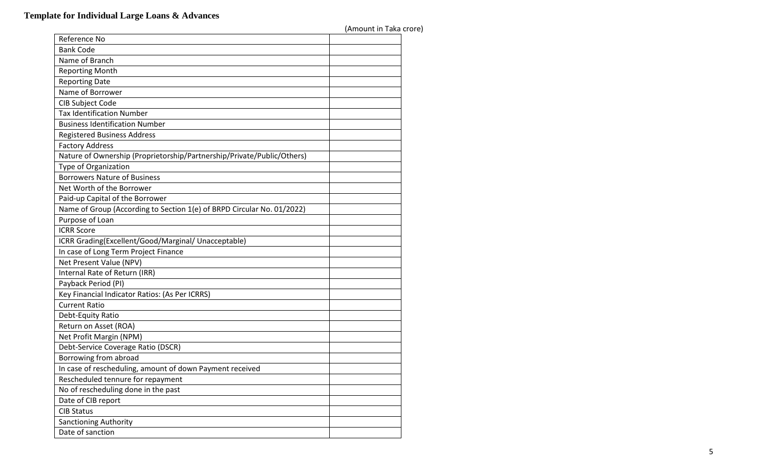|                                                                        | (Amount in Taka crore) |  |
|------------------------------------------------------------------------|------------------------|--|
| Reference No                                                           |                        |  |
| <b>Bank Code</b>                                                       |                        |  |
| Name of Branch                                                         |                        |  |
| <b>Reporting Month</b>                                                 |                        |  |
| <b>Reporting Date</b>                                                  |                        |  |
| Name of Borrower                                                       |                        |  |
| CIB Subject Code                                                       |                        |  |
| <b>Tax Identification Number</b>                                       |                        |  |
| <b>Business Identification Number</b>                                  |                        |  |
| <b>Registered Business Address</b>                                     |                        |  |
| <b>Factory Address</b>                                                 |                        |  |
| Nature of Ownership (Proprietorship/Partnership/Private/Public/Others) |                        |  |
| Type of Organization                                                   |                        |  |
| <b>Borrowers Nature of Business</b>                                    |                        |  |
| Net Worth of the Borrower                                              |                        |  |
| Paid-up Capital of the Borrower                                        |                        |  |
| Name of Group (According to Section 1(e) of BRPD Circular No. 01/2022) |                        |  |
| Purpose of Loan                                                        |                        |  |
| <b>ICRR Score</b>                                                      |                        |  |
| ICRR Grading(Excellent/Good/Marginal/ Unacceptable)                    |                        |  |
| In case of Long Term Project Finance                                   |                        |  |
| Net Present Value (NPV)                                                |                        |  |
| Internal Rate of Return (IRR)                                          |                        |  |
| Payback Period (PI)                                                    |                        |  |
| Key Financial Indicator Ratios: (As Per ICRRS)                         |                        |  |
| <b>Current Ratio</b>                                                   |                        |  |
| Debt-Equity Ratio                                                      |                        |  |
| Return on Asset (ROA)                                                  |                        |  |
| Net Profit Margin (NPM)                                                |                        |  |
| Debt-Service Coverage Ratio (DSCR)                                     |                        |  |
| Borrowing from abroad                                                  |                        |  |
| In case of rescheduling, amount of down Payment received               |                        |  |
| Rescheduled tennure for repayment                                      |                        |  |
| No of rescheduling done in the past                                    |                        |  |
| Date of CIB report                                                     |                        |  |
| <b>CIB Status</b>                                                      |                        |  |
| Sanctioning Authority                                                  |                        |  |
| Date of sanction                                                       |                        |  |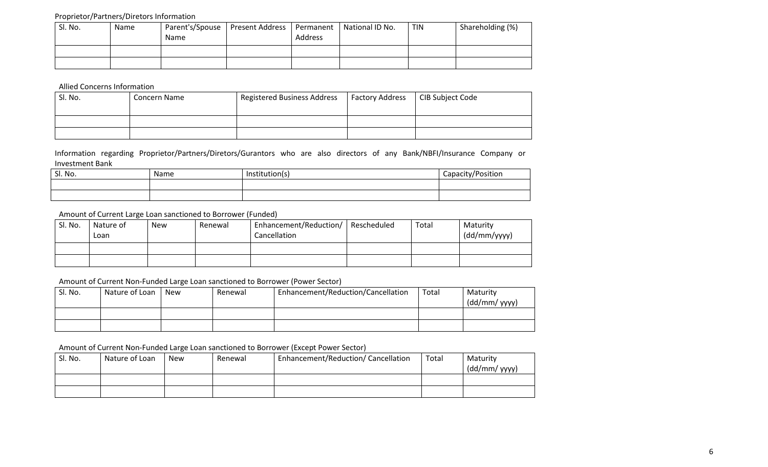#### Proprietor/Partners/Diretors Information

| Sl. No. | Name | Name | Parent's/Spouse   Present Address   Permanent | Address | National ID No. | <b>TIN</b> | Shareholding (%) |
|---------|------|------|-----------------------------------------------|---------|-----------------|------------|------------------|
|         |      |      |                                               |         |                 |            |                  |
|         |      |      |                                               |         |                 |            |                  |

Allied Concerns Information

| Sl. No. | Concern Name | <b>Registered Business Address</b> | <b>Factory Address</b> | CIB Subject Code |
|---------|--------------|------------------------------------|------------------------|------------------|
|         |              |                                    |                        |                  |
|         |              |                                    |                        |                  |
|         |              |                                    |                        |                  |

Information regarding Proprietor/Partners/Diretors/Gurantors who are also directors of any Bank/NBFI/Insurance Company or Investment Bank

| Sl. No. | <b>Name</b> | Institution(s) | Capacity/Position |
|---------|-------------|----------------|-------------------|
|         |             |                |                   |
|         |             |                |                   |

### Amount of Current Large Loan sanctioned to Borrower (Funded)

| Sl. No. | Nature of<br>Loan | <b>New</b> | Renewal | Enhancement/Reduction/<br>Cancellation | Rescheduled | Total | Maturity<br>(dd/mm/yyyy) |
|---------|-------------------|------------|---------|----------------------------------------|-------------|-------|--------------------------|
|         |                   |            |         |                                        |             |       |                          |
|         |                   |            |         |                                        |             |       |                          |

#### Amount of Current Non-Funded Large Loan sanctioned to Borrower (Power Sector)

| Sl. No. | Nature of Loan | <b>New</b> | Renewal | Enhancement/Reduction/Cancellation | Total | Maturity<br>(dd/mm/ yyyy) |
|---------|----------------|------------|---------|------------------------------------|-------|---------------------------|
|         |                |            |         |                                    |       |                           |
|         |                |            |         |                                    |       |                           |

#### Amount of Current Non-Funded Large Loan sanctioned to Borrower (Except Power Sector)

| Sl. No. | Nature of Loan | <b>New</b> | Renewal | Enhancement/Reduction/ Cancellation | Total | Maturity      |
|---------|----------------|------------|---------|-------------------------------------|-------|---------------|
|         |                |            |         |                                     |       | (dd/mm/ yyyy) |
|         |                |            |         |                                     |       |               |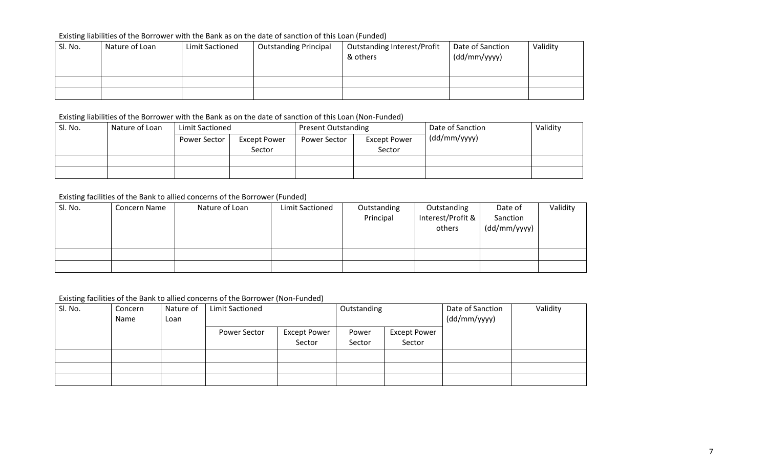## Existing liabilities of the Borrower with the Bank as on the date of sanction of this Loan (Funded)

| Sl. No. | Nature of Loan | Limit Sactioned | <b>Outstanding Principal</b> | <b>Outstanding Interest/Profit</b><br>& others | Date of Sanction<br>(dd/mm/yyyy) | Validity |
|---------|----------------|-----------------|------------------------------|------------------------------------------------|----------------------------------|----------|
|         |                |                 |                              |                                                |                                  |          |
|         |                |                 |                              |                                                |                                  |          |

## Existing liabilities of the Borrower with the Bank as on the date of sanction of this Loan (Non-Funded)

| Sl. No. | Nature of Loan | Limit Sactioned<br>Power Sector<br><b>Except Power</b> |        | <b>Present Outstanding</b> |                     | Date of Sanction | Validity |
|---------|----------------|--------------------------------------------------------|--------|----------------------------|---------------------|------------------|----------|
|         |                |                                                        |        | Power Sector               | <b>Except Power</b> | (dd/mm/yyyy)     |          |
|         |                |                                                        | Sector |                            | Sector              |                  |          |
|         |                |                                                        |        |                            |                     |                  |          |
|         |                |                                                        |        |                            |                     |                  |          |

## Existing facilities of the Bank to allied concerns of the Borrower (Funded)

| Sl. No. | Concern Name | Nature of Loan | Limit Sactioned | Outstanding<br>Principal | Outstanding<br>Interest/Profit &<br>others | Date of<br>Sanction<br>(dd/mm/yyyy) | Validity |
|---------|--------------|----------------|-----------------|--------------------------|--------------------------------------------|-------------------------------------|----------|
|         |              |                |                 |                          |                                            |                                     |          |
|         |              |                |                 |                          |                                            |                                     |          |

## Existing facilities of the Bank to allied concerns of the Borrower (Non-Funded)

| Sl. No. | Concern | Nature of | <b>Limit Sactioned</b> |                     | Outstanding |                     | Date of Sanction | Validity |
|---------|---------|-----------|------------------------|---------------------|-------------|---------------------|------------------|----------|
|         | Name    | Loan      |                        |                     |             |                     | (dd/mm/yyyy)     |          |
|         |         |           | Power Sector           | <b>Except Power</b> | Power       | <b>Except Power</b> |                  |          |
|         |         |           |                        | Sector              | Sector      | Sector              |                  |          |
|         |         |           |                        |                     |             |                     |                  |          |
|         |         |           |                        |                     |             |                     |                  |          |
|         |         |           |                        |                     |             |                     |                  |          |